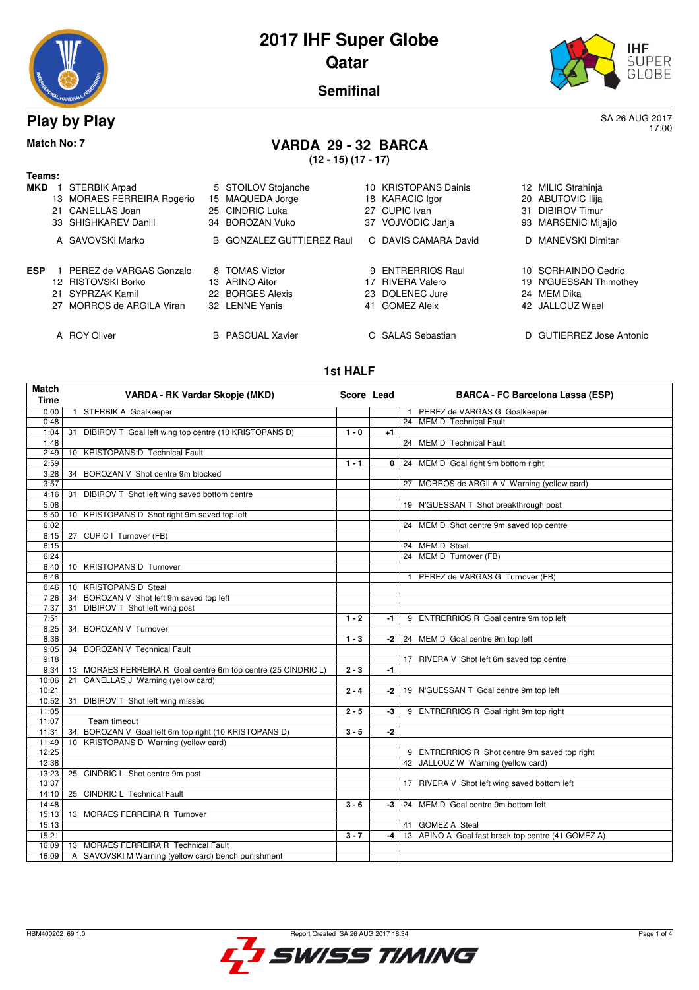



17:00

**Semifinal**

### **Play by Play** SA 26 AUG 2017

### **Match No: 7 VARDA 29 - 32 BARCA**

**(12 - 15) (17 - 17)**

| Teams:     |                            |                                  |    |                      |    |                          |
|------------|----------------------------|----------------------------------|----|----------------------|----|--------------------------|
| <b>MKD</b> | STERBIK Arpad              | 5 STOILOV Stojanche              |    | 10 KRISTOPANS Dainis |    | 12 MILIC Strahinja       |
|            | 13 MORAES FERREIRA Rogerio | 15 MAQUEDA Jorge                 |    | 18 KARACIC Igor      |    | 20 ABUTOVIC Ilija        |
|            | 21 CANELLAS Joan           | 25 CINDRIC Luka                  | 27 | CUPIC Ivan           | 31 | <b>DIBIROV Timur</b>     |
|            | 33 SHISHKAREV Daniil       | 34 BOROZAN Vuko                  |    | 37 VOJVODIC Janja    |    | 93 MARSENIC Mijajlo      |
|            | A SAVOVSKI Marko           | <b>B</b> GONZALEZ GUTTIEREZ Raul |    | C DAVIS CAMARA David |    | D MANEVSKI Dimitar       |
| <b>ESP</b> | PEREZ de VARGAS Gonzalo    | 8 TOMAS Victor                   |    | 9 ENTRERRIOS Raul    |    | 10 SORHAINDO Cedric      |
|            | 12 RISTOVSKI Borko         | 13 ARINO Aitor                   | 17 | <b>RIVERA Valero</b> |    | 19 N'GUESSAN Thimothey   |
|            | 21 SYPRZAK Kamil           | 22 BORGES Alexis                 |    | 23 DOLENEC Jure      |    | 24 MEM Dika              |
|            | 27 MORROS de ARGILA Viran  | 32 LENNE Yanis                   | 41 | <b>GOMEZ Aleix</b>   |    | 42 JALLOUZ Wael          |
|            | A ROY Oliver               | <b>B</b> PASCUAL Xavier          |    | C SALAS Sebastian    |    | D GUTIERREZ Jose Antonio |
|            |                            |                                  |    |                      |    |                          |

#### **1st HALF**

| <b>Match</b><br><b>Time</b> | VARDA - RK Vardar Skopje (MKD)                                   | Score Lead |      | <b>BARCA - FC Barcelona Lassa (ESP)</b>            |
|-----------------------------|------------------------------------------------------------------|------------|------|----------------------------------------------------|
| 0:00                        | STERBIK A Goalkeeper<br>$\overline{1}$                           |            |      | 1 PEREZ de VARGAS G Goalkeeper                     |
| 0:48                        |                                                                  |            |      | 24 MEM D Technical Fault                           |
| 1:04                        | DIBIROV T Goal left wing top centre (10 KRISTOPANS D)<br>31      | $1 - 0$    | $+1$ |                                                    |
| 1:48                        |                                                                  |            |      | 24 MEM D Technical Fault                           |
| 2:49                        | <b>KRISTOPANS D Technical Fault</b><br>10                        |            |      |                                                    |
| 2:59                        |                                                                  | $1 - 1$    | 0 I  | 24 MEM D Goal right 9m bottom right                |
| 3:28                        | BOROZAN V Shot centre 9m blocked<br>34                           |            |      |                                                    |
| 3:57                        |                                                                  |            |      | 27 MORROS de ARGILA V Warning (yellow card)        |
| 4:16                        | DIBIROV T Shot left wing saved bottom centre<br>31               |            |      |                                                    |
| 5:08                        |                                                                  |            |      | 19 N'GUESSAN T Shot breakthrough post              |
| 5:50                        | 10 KRISTOPANS D Shot right 9m saved top left                     |            |      |                                                    |
| 6:02                        |                                                                  |            |      | 24 MEM D Shot centre 9m saved top centre           |
| 6:15                        | CUPIC I Turnover (FB)<br>27                                      |            |      |                                                    |
| 6:15                        |                                                                  |            |      | 24 MEM D Steal                                     |
| 6:24                        |                                                                  |            |      | 24 MEM D Turnover (FB)                             |
| 6:40                        | 10 KRISTOPANS D Turnover                                         |            |      |                                                    |
| 6:46                        |                                                                  |            |      | PEREZ de VARGAS G Turnover (FB)                    |
| 6:46                        | <b>KRISTOPANS D Steal</b><br>10                                  |            |      |                                                    |
| 7:26                        | BOROZAN V Shot left 9m saved top left<br>34                      |            |      |                                                    |
| 7:37                        | DIBIROV T Shot left wing post<br>31                              |            |      |                                                    |
| 7:51                        |                                                                  | $1 - 2$    | $-1$ | 9 ENTRERRIOS R Goal centre 9m top left             |
| 8:25                        | <b>BOROZAN V Turnover</b><br>34                                  |            |      |                                                    |
| 8:36                        |                                                                  | $1 - 3$    | -2   | 24 MEM D Goal centre 9m top left                   |
| 9:05                        | <b>BOROZAN V Technical Fault</b><br>34                           |            |      |                                                    |
| 9:18                        |                                                                  |            |      | 17 RIVERA V Shot left 6m saved top centre          |
| 9:34                        | MORAES FERREIRA R Goal centre 6m top centre (25 CINDRIC L)<br>13 | $2 - 3$    | $-1$ |                                                    |
| 10:06                       | CANELLAS J Warning (yellow card)<br>21                           |            |      |                                                    |
| 10:21                       |                                                                  | $2 - 4$    | $-2$ | 19 N'GUESSAN T Goal centre 9m top left             |
| 10:52                       | DIBIROV T Shot left wing missed<br>31                            |            |      |                                                    |
| 11:05                       |                                                                  | $2 - 5$    | -3   | 9 ENTRERRIOS R Goal right 9m top right             |
| 11:07                       | Team timeout                                                     |            |      |                                                    |
| 11:31                       | BOROZAN V Goal left 6m top right (10 KRISTOPANS D)<br>34         | $3 - 5$    | $-2$ |                                                    |
| 11:49                       | 10 KRISTOPANS D Warning (yellow card)                            |            |      |                                                    |
| 12:25                       |                                                                  |            |      | 9 ENTRERRIOS R Shot centre 9m saved top right      |
| 12:38                       |                                                                  |            |      | 42 JALLOUZ W Warning (yellow card)                 |
| 13:23                       | 25 CINDRIC L Shot centre 9m post                                 |            |      |                                                    |
| 13:37                       |                                                                  |            |      | 17 RIVERA V Shot left wing saved bottom left       |
| 14:10                       | 25 CINDRIC L Technical Fault                                     |            |      |                                                    |
| 14:48                       |                                                                  | $3 - 6$    | -3 I | 24 MEM D Goal centre 9m bottom left                |
| 15:13                       | 13 MORAES FERREIRA R Turnover                                    |            |      |                                                    |
| 15:13                       |                                                                  |            |      | 41 GOMEZ A Steal                                   |
| 15:21                       |                                                                  | $3 - 7$    | $-4$ | 13 ARINO A Goal fast break top centre (41 GOMEZ A) |
| 16:09                       | 13 MORAES FERREIRA R Technical Fault                             |            |      |                                                    |
| 16:09                       | A<br>SAVOVSKI M Warning (yellow card) bench punishment           |            |      |                                                    |

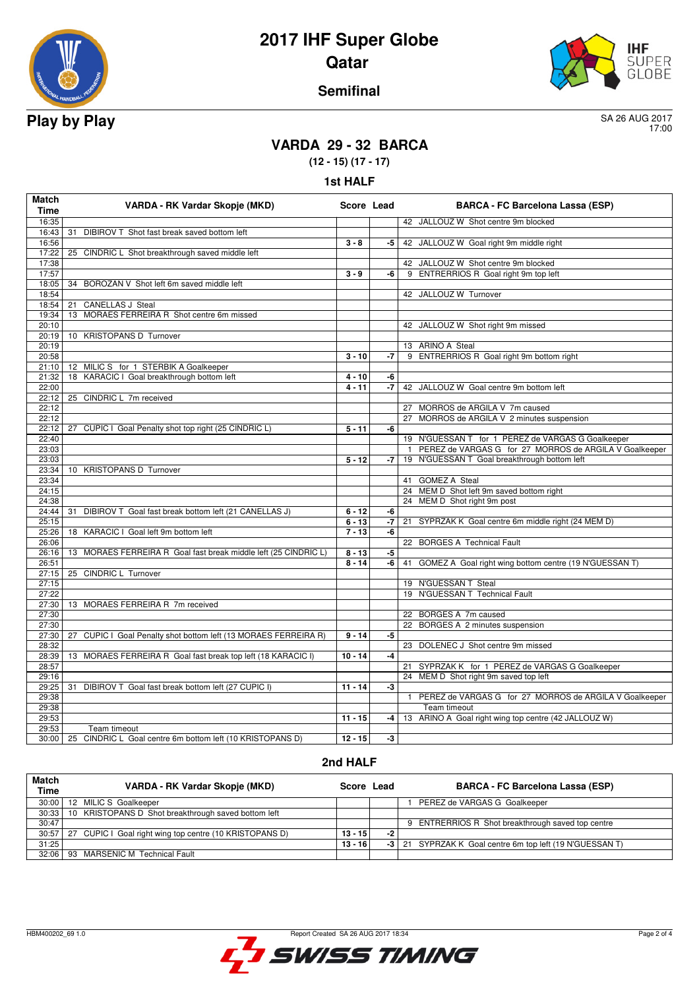



#### **Semifinal**

17:00

### **VARDA 29 - 32 BARCA**

**(12 - 15) (17 - 17)**

| 1st HALI |  |
|----------|--|
|----------|--|

| 16:35<br>42 JALLOUZ W Shot centre 9m blocked<br>31 DIBIROV T Shot fast break saved bottom left<br>16:43<br>16:56<br>42 JALLOUZ W Goal right 9m middle right<br>$3 - 8$<br>-5<br>17:22<br>25 CINDRIC L Shot breakthrough saved middle left<br>42 JALLOUZ W Shot centre 9m blocked<br>17:38<br>9 ENTRERRIOS R Goal right 9m top left<br>17:57<br>$3 - 9$<br>-6<br>18:05<br>34 BOROZAN V Shot left 6m saved middle left<br>18:54<br>42 JALLOUZ W Turnover<br>18:54<br><b>CANELLAS J Steal</b><br>21<br>13 MORAES FERREIRA R Shot centre 6m missed<br>19:34<br>20:10<br>42 JALLOUZ W Shot right 9m missed<br>10 KRISTOPANS D Turnover<br>20:19<br>20:19<br>13 ARINO A Steal<br>9 ENTRERRIOS R Goal right 9m bottom right<br>20:58<br>$3 - 10$<br>-7<br>21:10   12 MILIC S for 1 STERBIK A Goalkeeper<br>18 KARACIC I Goal breakthrough bottom left<br>21:32<br>$4 - 10$<br>-6<br>22:00<br>$4 - 11$<br>$-7$<br>42 JALLOUZ W Goal centre 9m bottom left<br>22:12<br>25 CINDRIC L 7m received<br>22:12<br>MORROS de ARGILA V 7m caused<br>22:12<br>27 MORROS de ARGILA V 2 minutes suspension<br>22:12<br>27 CUPIC I Goal Penalty shot top right (25 CINDRIC L)<br>$5 - 11$<br>-6<br>19 N'GUESSAN T for 1 PEREZ de VARGAS G Goalkeeper<br>22:40<br>23:03<br>PEREZ de VARGAS G for 27 MORROS de ARGILA V Goalkeeper<br>19 N'GUESSAN T Goal breakthrough bottom left<br>23:03<br>$5 - 12$<br>-7<br>10 KRISTOPANS D Turnover<br>23:34<br>41 GOMEZ A Steal<br>23:34<br>24:15<br>24 MEM D Shot left 9m saved bottom right<br>24:38<br>24 MEM D Shot right 9m post<br>24:44<br>DIBIROV T Goal fast break bottom left (21 CANELLAS J)<br>$6 - 12$<br>31<br>-6<br>$-7$<br>SYPRZAK K Goal centre 6m middle right (24 MEM D)<br>25:15<br>$6 - 13$<br>21<br>25:26<br>$7 - 13$<br>-6<br>18 KARACIC I Goal left 9m bottom left<br>22 BORGES A Technical Fault<br>26:06<br>26:16<br>$8 - 13$<br>13 MORAES FERREIRA R Goal fast break middle left (25 CINDRIC L)<br>-5<br>$8 - 14$<br>GOMEZ A Goal right wing bottom centre (19 N'GUESSAN T)<br>26:51<br>-6<br>41<br>25 CINDRIC L Turnover<br>27:15<br>27:15<br>19 N'GUESSAN T Steal<br>19 N'GUESSAN T Technical Fault<br>27:22<br>27:30<br>13 MORAES FERREIRA R 7m received<br>27:30<br>22 BORGES A 7m caused<br>27:30<br>BORGES A 2 minutes suspension<br>22<br>27:30<br>27 CUPIC I Goal Penalty shot bottom left (13 MORAES FERREIRA R)<br>$9 - 14$<br>-5<br>23 DOLENEC J Shot centre 9m missed<br>28:32<br>28:39<br>13 MORAES FERREIRA R Goal fast break top left (18 KARACIC I)<br>$10 - 14$<br>-4<br>28:57<br>21 SYPRZAK K for 1 PEREZ de VARGAS G Goalkeeper<br>24 MEM D Shot right 9m saved top left<br>29:16<br>29:25<br>31 DIBIROV T Goal fast break bottom left (27 CUPIC I)<br>$11 - 14$<br>$-3$<br>PEREZ de VARGAS G for 27 MORROS de ARGILA V Goalkeeper<br>29:38<br>$\mathbf{1}$<br>29:38<br>Team timeout<br>29:53<br>$11 - 15$<br>13 ARINO A Goal right wing top centre (42 JALLOUZ W)<br>-4<br>29:53<br>Team timeout<br>30:00   25 CINDRIC L Goal centre 6m bottom left (10 KRISTOPANS D)<br>$12 - 15$ | <b>Match</b><br><b>Time</b> | VARDA - RK Vardar Skopje (MKD) | Score Lead |      | <b>BARCA - FC Barcelona Lassa (ESP)</b> |
|---------------------------------------------------------------------------------------------------------------------------------------------------------------------------------------------------------------------------------------------------------------------------------------------------------------------------------------------------------------------------------------------------------------------------------------------------------------------------------------------------------------------------------------------------------------------------------------------------------------------------------------------------------------------------------------------------------------------------------------------------------------------------------------------------------------------------------------------------------------------------------------------------------------------------------------------------------------------------------------------------------------------------------------------------------------------------------------------------------------------------------------------------------------------------------------------------------------------------------------------------------------------------------------------------------------------------------------------------------------------------------------------------------------------------------------------------------------------------------------------------------------------------------------------------------------------------------------------------------------------------------------------------------------------------------------------------------------------------------------------------------------------------------------------------------------------------------------------------------------------------------------------------------------------------------------------------------------------------------------------------------------------------------------------------------------------------------------------------------------------------------------------------------------------------------------------------------------------------------------------------------------------------------------------------------------------------------------------------------------------------------------------------------------------------------------------------------------------------------------------------------------------------------------------------------------------------------------------------------------------------------------------------------------------------------------------------------------------------------------------------------------------------------------------------------------------------------------------------------------------------------------------------------------------------------------------------------------------------------------------------------------------------------------------------|-----------------------------|--------------------------------|------------|------|-----------------------------------------|
|                                                                                                                                                                                                                                                                                                                                                                                                                                                                                                                                                                                                                                                                                                                                                                                                                                                                                                                                                                                                                                                                                                                                                                                                                                                                                                                                                                                                                                                                                                                                                                                                                                                                                                                                                                                                                                                                                                                                                                                                                                                                                                                                                                                                                                                                                                                                                                                                                                                                                                                                                                                                                                                                                                                                                                                                                                                                                                                                                                                                                                                   |                             |                                |            |      |                                         |
|                                                                                                                                                                                                                                                                                                                                                                                                                                                                                                                                                                                                                                                                                                                                                                                                                                                                                                                                                                                                                                                                                                                                                                                                                                                                                                                                                                                                                                                                                                                                                                                                                                                                                                                                                                                                                                                                                                                                                                                                                                                                                                                                                                                                                                                                                                                                                                                                                                                                                                                                                                                                                                                                                                                                                                                                                                                                                                                                                                                                                                                   |                             |                                |            |      |                                         |
|                                                                                                                                                                                                                                                                                                                                                                                                                                                                                                                                                                                                                                                                                                                                                                                                                                                                                                                                                                                                                                                                                                                                                                                                                                                                                                                                                                                                                                                                                                                                                                                                                                                                                                                                                                                                                                                                                                                                                                                                                                                                                                                                                                                                                                                                                                                                                                                                                                                                                                                                                                                                                                                                                                                                                                                                                                                                                                                                                                                                                                                   |                             |                                |            |      |                                         |
|                                                                                                                                                                                                                                                                                                                                                                                                                                                                                                                                                                                                                                                                                                                                                                                                                                                                                                                                                                                                                                                                                                                                                                                                                                                                                                                                                                                                                                                                                                                                                                                                                                                                                                                                                                                                                                                                                                                                                                                                                                                                                                                                                                                                                                                                                                                                                                                                                                                                                                                                                                                                                                                                                                                                                                                                                                                                                                                                                                                                                                                   |                             |                                |            |      |                                         |
|                                                                                                                                                                                                                                                                                                                                                                                                                                                                                                                                                                                                                                                                                                                                                                                                                                                                                                                                                                                                                                                                                                                                                                                                                                                                                                                                                                                                                                                                                                                                                                                                                                                                                                                                                                                                                                                                                                                                                                                                                                                                                                                                                                                                                                                                                                                                                                                                                                                                                                                                                                                                                                                                                                                                                                                                                                                                                                                                                                                                                                                   |                             |                                |            |      |                                         |
|                                                                                                                                                                                                                                                                                                                                                                                                                                                                                                                                                                                                                                                                                                                                                                                                                                                                                                                                                                                                                                                                                                                                                                                                                                                                                                                                                                                                                                                                                                                                                                                                                                                                                                                                                                                                                                                                                                                                                                                                                                                                                                                                                                                                                                                                                                                                                                                                                                                                                                                                                                                                                                                                                                                                                                                                                                                                                                                                                                                                                                                   |                             |                                |            |      |                                         |
|                                                                                                                                                                                                                                                                                                                                                                                                                                                                                                                                                                                                                                                                                                                                                                                                                                                                                                                                                                                                                                                                                                                                                                                                                                                                                                                                                                                                                                                                                                                                                                                                                                                                                                                                                                                                                                                                                                                                                                                                                                                                                                                                                                                                                                                                                                                                                                                                                                                                                                                                                                                                                                                                                                                                                                                                                                                                                                                                                                                                                                                   |                             |                                |            |      |                                         |
|                                                                                                                                                                                                                                                                                                                                                                                                                                                                                                                                                                                                                                                                                                                                                                                                                                                                                                                                                                                                                                                                                                                                                                                                                                                                                                                                                                                                                                                                                                                                                                                                                                                                                                                                                                                                                                                                                                                                                                                                                                                                                                                                                                                                                                                                                                                                                                                                                                                                                                                                                                                                                                                                                                                                                                                                                                                                                                                                                                                                                                                   |                             |                                |            |      |                                         |
|                                                                                                                                                                                                                                                                                                                                                                                                                                                                                                                                                                                                                                                                                                                                                                                                                                                                                                                                                                                                                                                                                                                                                                                                                                                                                                                                                                                                                                                                                                                                                                                                                                                                                                                                                                                                                                                                                                                                                                                                                                                                                                                                                                                                                                                                                                                                                                                                                                                                                                                                                                                                                                                                                                                                                                                                                                                                                                                                                                                                                                                   |                             |                                |            |      |                                         |
|                                                                                                                                                                                                                                                                                                                                                                                                                                                                                                                                                                                                                                                                                                                                                                                                                                                                                                                                                                                                                                                                                                                                                                                                                                                                                                                                                                                                                                                                                                                                                                                                                                                                                                                                                                                                                                                                                                                                                                                                                                                                                                                                                                                                                                                                                                                                                                                                                                                                                                                                                                                                                                                                                                                                                                                                                                                                                                                                                                                                                                                   |                             |                                |            |      |                                         |
|                                                                                                                                                                                                                                                                                                                                                                                                                                                                                                                                                                                                                                                                                                                                                                                                                                                                                                                                                                                                                                                                                                                                                                                                                                                                                                                                                                                                                                                                                                                                                                                                                                                                                                                                                                                                                                                                                                                                                                                                                                                                                                                                                                                                                                                                                                                                                                                                                                                                                                                                                                                                                                                                                                                                                                                                                                                                                                                                                                                                                                                   |                             |                                |            |      |                                         |
|                                                                                                                                                                                                                                                                                                                                                                                                                                                                                                                                                                                                                                                                                                                                                                                                                                                                                                                                                                                                                                                                                                                                                                                                                                                                                                                                                                                                                                                                                                                                                                                                                                                                                                                                                                                                                                                                                                                                                                                                                                                                                                                                                                                                                                                                                                                                                                                                                                                                                                                                                                                                                                                                                                                                                                                                                                                                                                                                                                                                                                                   |                             |                                |            |      |                                         |
|                                                                                                                                                                                                                                                                                                                                                                                                                                                                                                                                                                                                                                                                                                                                                                                                                                                                                                                                                                                                                                                                                                                                                                                                                                                                                                                                                                                                                                                                                                                                                                                                                                                                                                                                                                                                                                                                                                                                                                                                                                                                                                                                                                                                                                                                                                                                                                                                                                                                                                                                                                                                                                                                                                                                                                                                                                                                                                                                                                                                                                                   |                             |                                |            |      |                                         |
|                                                                                                                                                                                                                                                                                                                                                                                                                                                                                                                                                                                                                                                                                                                                                                                                                                                                                                                                                                                                                                                                                                                                                                                                                                                                                                                                                                                                                                                                                                                                                                                                                                                                                                                                                                                                                                                                                                                                                                                                                                                                                                                                                                                                                                                                                                                                                                                                                                                                                                                                                                                                                                                                                                                                                                                                                                                                                                                                                                                                                                                   |                             |                                |            |      |                                         |
|                                                                                                                                                                                                                                                                                                                                                                                                                                                                                                                                                                                                                                                                                                                                                                                                                                                                                                                                                                                                                                                                                                                                                                                                                                                                                                                                                                                                                                                                                                                                                                                                                                                                                                                                                                                                                                                                                                                                                                                                                                                                                                                                                                                                                                                                                                                                                                                                                                                                                                                                                                                                                                                                                                                                                                                                                                                                                                                                                                                                                                                   |                             |                                |            |      |                                         |
|                                                                                                                                                                                                                                                                                                                                                                                                                                                                                                                                                                                                                                                                                                                                                                                                                                                                                                                                                                                                                                                                                                                                                                                                                                                                                                                                                                                                                                                                                                                                                                                                                                                                                                                                                                                                                                                                                                                                                                                                                                                                                                                                                                                                                                                                                                                                                                                                                                                                                                                                                                                                                                                                                                                                                                                                                                                                                                                                                                                                                                                   |                             |                                |            |      |                                         |
|                                                                                                                                                                                                                                                                                                                                                                                                                                                                                                                                                                                                                                                                                                                                                                                                                                                                                                                                                                                                                                                                                                                                                                                                                                                                                                                                                                                                                                                                                                                                                                                                                                                                                                                                                                                                                                                                                                                                                                                                                                                                                                                                                                                                                                                                                                                                                                                                                                                                                                                                                                                                                                                                                                                                                                                                                                                                                                                                                                                                                                                   |                             |                                |            |      |                                         |
|                                                                                                                                                                                                                                                                                                                                                                                                                                                                                                                                                                                                                                                                                                                                                                                                                                                                                                                                                                                                                                                                                                                                                                                                                                                                                                                                                                                                                                                                                                                                                                                                                                                                                                                                                                                                                                                                                                                                                                                                                                                                                                                                                                                                                                                                                                                                                                                                                                                                                                                                                                                                                                                                                                                                                                                                                                                                                                                                                                                                                                                   |                             |                                |            |      |                                         |
|                                                                                                                                                                                                                                                                                                                                                                                                                                                                                                                                                                                                                                                                                                                                                                                                                                                                                                                                                                                                                                                                                                                                                                                                                                                                                                                                                                                                                                                                                                                                                                                                                                                                                                                                                                                                                                                                                                                                                                                                                                                                                                                                                                                                                                                                                                                                                                                                                                                                                                                                                                                                                                                                                                                                                                                                                                                                                                                                                                                                                                                   |                             |                                |            |      |                                         |
|                                                                                                                                                                                                                                                                                                                                                                                                                                                                                                                                                                                                                                                                                                                                                                                                                                                                                                                                                                                                                                                                                                                                                                                                                                                                                                                                                                                                                                                                                                                                                                                                                                                                                                                                                                                                                                                                                                                                                                                                                                                                                                                                                                                                                                                                                                                                                                                                                                                                                                                                                                                                                                                                                                                                                                                                                                                                                                                                                                                                                                                   |                             |                                |            |      |                                         |
|                                                                                                                                                                                                                                                                                                                                                                                                                                                                                                                                                                                                                                                                                                                                                                                                                                                                                                                                                                                                                                                                                                                                                                                                                                                                                                                                                                                                                                                                                                                                                                                                                                                                                                                                                                                                                                                                                                                                                                                                                                                                                                                                                                                                                                                                                                                                                                                                                                                                                                                                                                                                                                                                                                                                                                                                                                                                                                                                                                                                                                                   |                             |                                |            |      |                                         |
|                                                                                                                                                                                                                                                                                                                                                                                                                                                                                                                                                                                                                                                                                                                                                                                                                                                                                                                                                                                                                                                                                                                                                                                                                                                                                                                                                                                                                                                                                                                                                                                                                                                                                                                                                                                                                                                                                                                                                                                                                                                                                                                                                                                                                                                                                                                                                                                                                                                                                                                                                                                                                                                                                                                                                                                                                                                                                                                                                                                                                                                   |                             |                                |            |      |                                         |
|                                                                                                                                                                                                                                                                                                                                                                                                                                                                                                                                                                                                                                                                                                                                                                                                                                                                                                                                                                                                                                                                                                                                                                                                                                                                                                                                                                                                                                                                                                                                                                                                                                                                                                                                                                                                                                                                                                                                                                                                                                                                                                                                                                                                                                                                                                                                                                                                                                                                                                                                                                                                                                                                                                                                                                                                                                                                                                                                                                                                                                                   |                             |                                |            |      |                                         |
|                                                                                                                                                                                                                                                                                                                                                                                                                                                                                                                                                                                                                                                                                                                                                                                                                                                                                                                                                                                                                                                                                                                                                                                                                                                                                                                                                                                                                                                                                                                                                                                                                                                                                                                                                                                                                                                                                                                                                                                                                                                                                                                                                                                                                                                                                                                                                                                                                                                                                                                                                                                                                                                                                                                                                                                                                                                                                                                                                                                                                                                   |                             |                                |            |      |                                         |
|                                                                                                                                                                                                                                                                                                                                                                                                                                                                                                                                                                                                                                                                                                                                                                                                                                                                                                                                                                                                                                                                                                                                                                                                                                                                                                                                                                                                                                                                                                                                                                                                                                                                                                                                                                                                                                                                                                                                                                                                                                                                                                                                                                                                                                                                                                                                                                                                                                                                                                                                                                                                                                                                                                                                                                                                                                                                                                                                                                                                                                                   |                             |                                |            |      |                                         |
|                                                                                                                                                                                                                                                                                                                                                                                                                                                                                                                                                                                                                                                                                                                                                                                                                                                                                                                                                                                                                                                                                                                                                                                                                                                                                                                                                                                                                                                                                                                                                                                                                                                                                                                                                                                                                                                                                                                                                                                                                                                                                                                                                                                                                                                                                                                                                                                                                                                                                                                                                                                                                                                                                                                                                                                                                                                                                                                                                                                                                                                   |                             |                                |            |      |                                         |
|                                                                                                                                                                                                                                                                                                                                                                                                                                                                                                                                                                                                                                                                                                                                                                                                                                                                                                                                                                                                                                                                                                                                                                                                                                                                                                                                                                                                                                                                                                                                                                                                                                                                                                                                                                                                                                                                                                                                                                                                                                                                                                                                                                                                                                                                                                                                                                                                                                                                                                                                                                                                                                                                                                                                                                                                                                                                                                                                                                                                                                                   |                             |                                |            |      |                                         |
|                                                                                                                                                                                                                                                                                                                                                                                                                                                                                                                                                                                                                                                                                                                                                                                                                                                                                                                                                                                                                                                                                                                                                                                                                                                                                                                                                                                                                                                                                                                                                                                                                                                                                                                                                                                                                                                                                                                                                                                                                                                                                                                                                                                                                                                                                                                                                                                                                                                                                                                                                                                                                                                                                                                                                                                                                                                                                                                                                                                                                                                   |                             |                                |            |      |                                         |
|                                                                                                                                                                                                                                                                                                                                                                                                                                                                                                                                                                                                                                                                                                                                                                                                                                                                                                                                                                                                                                                                                                                                                                                                                                                                                                                                                                                                                                                                                                                                                                                                                                                                                                                                                                                                                                                                                                                                                                                                                                                                                                                                                                                                                                                                                                                                                                                                                                                                                                                                                                                                                                                                                                                                                                                                                                                                                                                                                                                                                                                   |                             |                                |            |      |                                         |
|                                                                                                                                                                                                                                                                                                                                                                                                                                                                                                                                                                                                                                                                                                                                                                                                                                                                                                                                                                                                                                                                                                                                                                                                                                                                                                                                                                                                                                                                                                                                                                                                                                                                                                                                                                                                                                                                                                                                                                                                                                                                                                                                                                                                                                                                                                                                                                                                                                                                                                                                                                                                                                                                                                                                                                                                                                                                                                                                                                                                                                                   |                             |                                |            |      |                                         |
|                                                                                                                                                                                                                                                                                                                                                                                                                                                                                                                                                                                                                                                                                                                                                                                                                                                                                                                                                                                                                                                                                                                                                                                                                                                                                                                                                                                                                                                                                                                                                                                                                                                                                                                                                                                                                                                                                                                                                                                                                                                                                                                                                                                                                                                                                                                                                                                                                                                                                                                                                                                                                                                                                                                                                                                                                                                                                                                                                                                                                                                   |                             |                                |            |      |                                         |
|                                                                                                                                                                                                                                                                                                                                                                                                                                                                                                                                                                                                                                                                                                                                                                                                                                                                                                                                                                                                                                                                                                                                                                                                                                                                                                                                                                                                                                                                                                                                                                                                                                                                                                                                                                                                                                                                                                                                                                                                                                                                                                                                                                                                                                                                                                                                                                                                                                                                                                                                                                                                                                                                                                                                                                                                                                                                                                                                                                                                                                                   |                             |                                |            |      |                                         |
|                                                                                                                                                                                                                                                                                                                                                                                                                                                                                                                                                                                                                                                                                                                                                                                                                                                                                                                                                                                                                                                                                                                                                                                                                                                                                                                                                                                                                                                                                                                                                                                                                                                                                                                                                                                                                                                                                                                                                                                                                                                                                                                                                                                                                                                                                                                                                                                                                                                                                                                                                                                                                                                                                                                                                                                                                                                                                                                                                                                                                                                   |                             |                                |            |      |                                         |
|                                                                                                                                                                                                                                                                                                                                                                                                                                                                                                                                                                                                                                                                                                                                                                                                                                                                                                                                                                                                                                                                                                                                                                                                                                                                                                                                                                                                                                                                                                                                                                                                                                                                                                                                                                                                                                                                                                                                                                                                                                                                                                                                                                                                                                                                                                                                                                                                                                                                                                                                                                                                                                                                                                                                                                                                                                                                                                                                                                                                                                                   |                             |                                |            |      |                                         |
|                                                                                                                                                                                                                                                                                                                                                                                                                                                                                                                                                                                                                                                                                                                                                                                                                                                                                                                                                                                                                                                                                                                                                                                                                                                                                                                                                                                                                                                                                                                                                                                                                                                                                                                                                                                                                                                                                                                                                                                                                                                                                                                                                                                                                                                                                                                                                                                                                                                                                                                                                                                                                                                                                                                                                                                                                                                                                                                                                                                                                                                   |                             |                                |            |      |                                         |
|                                                                                                                                                                                                                                                                                                                                                                                                                                                                                                                                                                                                                                                                                                                                                                                                                                                                                                                                                                                                                                                                                                                                                                                                                                                                                                                                                                                                                                                                                                                                                                                                                                                                                                                                                                                                                                                                                                                                                                                                                                                                                                                                                                                                                                                                                                                                                                                                                                                                                                                                                                                                                                                                                                                                                                                                                                                                                                                                                                                                                                                   |                             |                                |            |      |                                         |
|                                                                                                                                                                                                                                                                                                                                                                                                                                                                                                                                                                                                                                                                                                                                                                                                                                                                                                                                                                                                                                                                                                                                                                                                                                                                                                                                                                                                                                                                                                                                                                                                                                                                                                                                                                                                                                                                                                                                                                                                                                                                                                                                                                                                                                                                                                                                                                                                                                                                                                                                                                                                                                                                                                                                                                                                                                                                                                                                                                                                                                                   |                             |                                |            |      |                                         |
|                                                                                                                                                                                                                                                                                                                                                                                                                                                                                                                                                                                                                                                                                                                                                                                                                                                                                                                                                                                                                                                                                                                                                                                                                                                                                                                                                                                                                                                                                                                                                                                                                                                                                                                                                                                                                                                                                                                                                                                                                                                                                                                                                                                                                                                                                                                                                                                                                                                                                                                                                                                                                                                                                                                                                                                                                                                                                                                                                                                                                                                   |                             |                                |            |      |                                         |
|                                                                                                                                                                                                                                                                                                                                                                                                                                                                                                                                                                                                                                                                                                                                                                                                                                                                                                                                                                                                                                                                                                                                                                                                                                                                                                                                                                                                                                                                                                                                                                                                                                                                                                                                                                                                                                                                                                                                                                                                                                                                                                                                                                                                                                                                                                                                                                                                                                                                                                                                                                                                                                                                                                                                                                                                                                                                                                                                                                                                                                                   |                             |                                |            |      |                                         |
|                                                                                                                                                                                                                                                                                                                                                                                                                                                                                                                                                                                                                                                                                                                                                                                                                                                                                                                                                                                                                                                                                                                                                                                                                                                                                                                                                                                                                                                                                                                                                                                                                                                                                                                                                                                                                                                                                                                                                                                                                                                                                                                                                                                                                                                                                                                                                                                                                                                                                                                                                                                                                                                                                                                                                                                                                                                                                                                                                                                                                                                   |                             |                                |            |      |                                         |
|                                                                                                                                                                                                                                                                                                                                                                                                                                                                                                                                                                                                                                                                                                                                                                                                                                                                                                                                                                                                                                                                                                                                                                                                                                                                                                                                                                                                                                                                                                                                                                                                                                                                                                                                                                                                                                                                                                                                                                                                                                                                                                                                                                                                                                                                                                                                                                                                                                                                                                                                                                                                                                                                                                                                                                                                                                                                                                                                                                                                                                                   |                             |                                |            |      |                                         |
|                                                                                                                                                                                                                                                                                                                                                                                                                                                                                                                                                                                                                                                                                                                                                                                                                                                                                                                                                                                                                                                                                                                                                                                                                                                                                                                                                                                                                                                                                                                                                                                                                                                                                                                                                                                                                                                                                                                                                                                                                                                                                                                                                                                                                                                                                                                                                                                                                                                                                                                                                                                                                                                                                                                                                                                                                                                                                                                                                                                                                                                   |                             |                                |            |      |                                         |
|                                                                                                                                                                                                                                                                                                                                                                                                                                                                                                                                                                                                                                                                                                                                                                                                                                                                                                                                                                                                                                                                                                                                                                                                                                                                                                                                                                                                                                                                                                                                                                                                                                                                                                                                                                                                                                                                                                                                                                                                                                                                                                                                                                                                                                                                                                                                                                                                                                                                                                                                                                                                                                                                                                                                                                                                                                                                                                                                                                                                                                                   |                             |                                |            |      |                                         |
|                                                                                                                                                                                                                                                                                                                                                                                                                                                                                                                                                                                                                                                                                                                                                                                                                                                                                                                                                                                                                                                                                                                                                                                                                                                                                                                                                                                                                                                                                                                                                                                                                                                                                                                                                                                                                                                                                                                                                                                                                                                                                                                                                                                                                                                                                                                                                                                                                                                                                                                                                                                                                                                                                                                                                                                                                                                                                                                                                                                                                                                   |                             |                                |            |      |                                         |
|                                                                                                                                                                                                                                                                                                                                                                                                                                                                                                                                                                                                                                                                                                                                                                                                                                                                                                                                                                                                                                                                                                                                                                                                                                                                                                                                                                                                                                                                                                                                                                                                                                                                                                                                                                                                                                                                                                                                                                                                                                                                                                                                                                                                                                                                                                                                                                                                                                                                                                                                                                                                                                                                                                                                                                                                                                                                                                                                                                                                                                                   |                             |                                |            |      |                                         |
|                                                                                                                                                                                                                                                                                                                                                                                                                                                                                                                                                                                                                                                                                                                                                                                                                                                                                                                                                                                                                                                                                                                                                                                                                                                                                                                                                                                                                                                                                                                                                                                                                                                                                                                                                                                                                                                                                                                                                                                                                                                                                                                                                                                                                                                                                                                                                                                                                                                                                                                                                                                                                                                                                                                                                                                                                                                                                                                                                                                                                                                   |                             |                                |            |      |                                         |
|                                                                                                                                                                                                                                                                                                                                                                                                                                                                                                                                                                                                                                                                                                                                                                                                                                                                                                                                                                                                                                                                                                                                                                                                                                                                                                                                                                                                                                                                                                                                                                                                                                                                                                                                                                                                                                                                                                                                                                                                                                                                                                                                                                                                                                                                                                                                                                                                                                                                                                                                                                                                                                                                                                                                                                                                                                                                                                                                                                                                                                                   |                             |                                |            |      |                                         |
|                                                                                                                                                                                                                                                                                                                                                                                                                                                                                                                                                                                                                                                                                                                                                                                                                                                                                                                                                                                                                                                                                                                                                                                                                                                                                                                                                                                                                                                                                                                                                                                                                                                                                                                                                                                                                                                                                                                                                                                                                                                                                                                                                                                                                                                                                                                                                                                                                                                                                                                                                                                                                                                                                                                                                                                                                                                                                                                                                                                                                                                   |                             |                                |            |      |                                         |
|                                                                                                                                                                                                                                                                                                                                                                                                                                                                                                                                                                                                                                                                                                                                                                                                                                                                                                                                                                                                                                                                                                                                                                                                                                                                                                                                                                                                                                                                                                                                                                                                                                                                                                                                                                                                                                                                                                                                                                                                                                                                                                                                                                                                                                                                                                                                                                                                                                                                                                                                                                                                                                                                                                                                                                                                                                                                                                                                                                                                                                                   |                             |                                |            | $-3$ |                                         |

#### **2nd HALF**

| <b>Match</b><br>Time | VARDA - RK Vardar Skopje (MKD)                          | Score Lead |     | <b>BARCA - FC Barcelona Lassa (ESP)</b>               |
|----------------------|---------------------------------------------------------|------------|-----|-------------------------------------------------------|
| 30:00                | 12 MILIC S Goalkeeper                                   |            |     | PEREZ de VARGAS G Goalkeeper                          |
| 30:33                | 10 KRISTOPANS D Shot breakthrough saved bottom left     |            |     |                                                       |
| 30:47                |                                                         |            |     | 9 ENTRERRIOS R Shot breakthrough saved top centre     |
| 30:57                | 27 CUPIC I Goal right wing top centre (10 KRISTOPANS D) | $13 - 15$  | -2  |                                                       |
| 31:25                |                                                         | $13 - 16$  | -31 | 21 SYPRZAK K Goal centre 6m top left (19 N'GUESSAN T) |
| 32:06                | 93 MARSENIC M Technical Fault                           |            |     |                                                       |

**SWISS TIMING** 

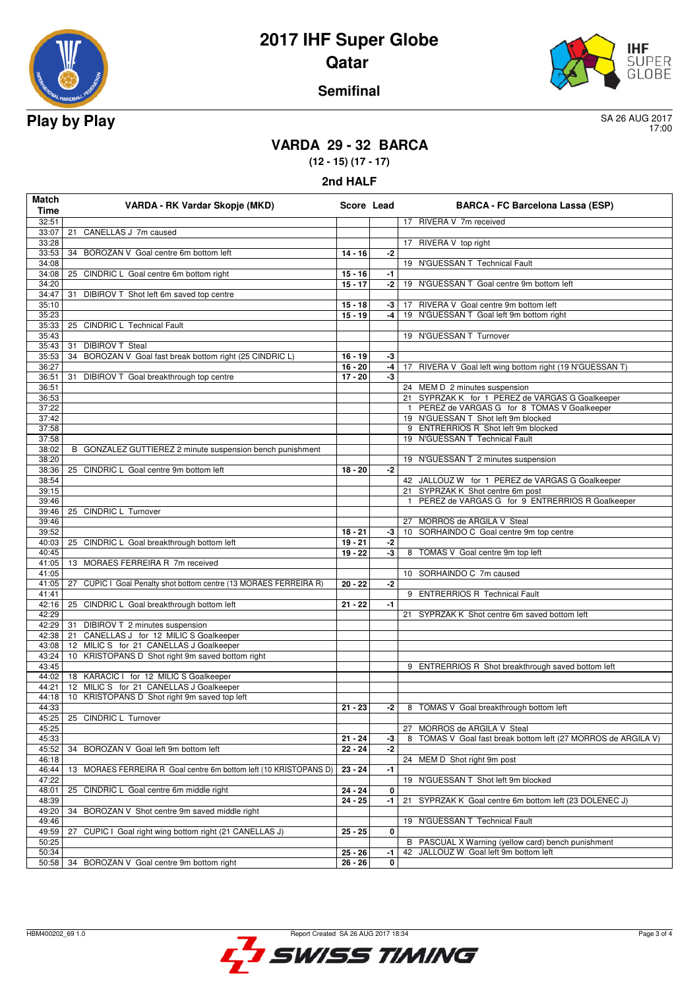



#### **Semifinal**

17:00

## **VARDA 29 - 32 BARCA**

**(12 - 15) (17 - 17)**

**2nd HALF**

| Match<br><b>Time</b> | VARDA - RK Vardar Skopje (MKD)                                       | Score Lead             |      | <b>BARCA - FC Barcelona Lassa (ESP)</b>                                                     |
|----------------------|----------------------------------------------------------------------|------------------------|------|---------------------------------------------------------------------------------------------|
| 32:51                |                                                                      |                        |      | 17 RIVERA V 7m received                                                                     |
| 33:07                | CANELLAS J 7m caused<br>21                                           |                        |      |                                                                                             |
| 33:28                |                                                                      |                        |      | 17 RIVERA V top right                                                                       |
| 33:53                | 34 BOROZAN V Goal centre 6m bottom left                              | $14 - 16$              | $-2$ |                                                                                             |
| 34:08                |                                                                      |                        |      | 19 N'GUESSAN T Technical Fault                                                              |
| 34:08                | 25 CINDRIC L Goal centre 6m bottom right                             | $15 - 16$              | -1   |                                                                                             |
| 34:20                |                                                                      | $15 - 17$              | -2   | 19 N'GUESSAN T Goal centre 9m bottom left                                                   |
| 34:47                | 31 DIBIROV T Shot left 6m saved top centre                           |                        |      |                                                                                             |
| 35:10                |                                                                      | $15 - 18$              | -3   | RIVERA V Goal centre 9m bottom left<br>17                                                   |
| 35:23                |                                                                      | $15 - 19$              | $-4$ | 19 N'GUESSAN T Goal left 9m bottom right                                                    |
| 35:33                | 25 CINDRIC L Technical Fault                                         |                        |      |                                                                                             |
| 35:43                |                                                                      |                        |      | 19 N'GUESSAN T Turnover                                                                     |
| 35:43                | <b>DIBIROV T Steal</b><br>31                                         |                        |      |                                                                                             |
| 35:53                | BOROZAN V Goal fast break bottom right (25 CINDRIC L)<br>34          | $16 - 19$              | -3   |                                                                                             |
| 36:27                |                                                                      | $16 - 20$              | -4   | 17 RIVERA V Goal left wing bottom right (19 N'GUESSAN T)                                    |
| 36:51                | DIBIROV T Goal breakthrough top centre<br>31                         | $17 - 20$              | -3   |                                                                                             |
| 36:51<br>36:53       |                                                                      |                        |      | 24 MEM D 2 minutes suspension<br>21 SYPRZAK K for 1 PEREZ de VARGAS G Goalkeeper            |
| 37:22                |                                                                      |                        |      | PEREZ de VARGAS G for 8 TOMAS V Goalkeeper<br>$\mathbf{1}$                                  |
| 37:42                |                                                                      |                        |      | 19 N'GUESSAN T Shot left 9m blocked                                                         |
| 37:58                |                                                                      |                        |      | 9 ENTRERRIOS R Shot left 9m blocked                                                         |
| 37:58                |                                                                      |                        |      | 19 N'GUESSAN T Technical Fault                                                              |
| 38:02                | B GONZALEZ GUTTIEREZ 2 minute suspension bench punishment            |                        |      |                                                                                             |
| 38:20                |                                                                      |                        |      | 19 N'GUESSAN T 2 minutes suspension                                                         |
| 38:36                | 25 CINDRIC L Goal centre 9m bottom left                              | $18 - 20$              | $-2$ |                                                                                             |
| 38:54                |                                                                      |                        |      | 42 JALLOUZ W for 1 PEREZ de VARGAS G Goalkeeper                                             |
| 39:15                |                                                                      |                        |      | 21 SYPRZAK K Shot centre 6m post                                                            |
| 39:46                |                                                                      |                        |      | PEREZ de VARGAS G for 9 ENTRERRIOS R Goalkeeper<br>$\mathbf{1}$                             |
| 39:46                | 25 CINDRIC L Turnover                                                |                        |      |                                                                                             |
| 39:46                |                                                                      |                        |      | 27 MORROS de ARGILA V Steal                                                                 |
| 39:52                |                                                                      | $18 - 21$              | $-3$ | SORHAINDO C Goal centre 9m top centre<br>10                                                 |
| 40:03                | 25 CINDRIC L Goal breakthrough bottom left                           | $19 - 21$              | -2   |                                                                                             |
| 40:45                |                                                                      | $19 - 22$              | -3   | 8 TOMAS V Goal centre 9m top left                                                           |
| 41:05                | 13 MORAES FERREIRA R 7m received                                     |                        |      |                                                                                             |
| 41:05                |                                                                      |                        |      | 10 SORHAINDO C 7m caused                                                                    |
| 41:05 27             | CUPIC I Goal Penalty shot bottom centre (13 MORAES FERREIRA R)       | $20 - 22$              | $-2$ |                                                                                             |
| 41:41                |                                                                      |                        |      | 9 ENTRERRIOS R Technical Fault                                                              |
| 42:29                | 42:16 25 CINDRIC L Goal breakthrough bottom left                     | $21 - 22$              | -1   | 21                                                                                          |
| 42:29 31             | DIBIROV T 2 minutes suspension                                       |                        |      | SYPRZAK K Shot centre 6m saved bottom left                                                  |
| 42:38                | 21 CANELLAS J for 12 MILIC S Goalkeeper                              |                        |      |                                                                                             |
| 43:08                | 12 MILIC S for 21 CANELLAS J Goalkeeper                              |                        |      |                                                                                             |
| 43:24                | KRISTOPANS D Shot right 9m saved bottom right<br>10                  |                        |      |                                                                                             |
| 43:45                |                                                                      |                        |      | 9 ENTRERRIOS R Shot breakthrough saved bottom left                                          |
| 44:02                | 18 KARACIC I for 12 MILIC S Goalkeeper                               |                        |      |                                                                                             |
| 44:21                | 12 MILIC S for 21 CANELLAS J Goalkeeper                              |                        |      |                                                                                             |
| 44:18                | 10 KRISTOPANS D Shot right 9m saved top left                         |                        |      |                                                                                             |
| 44:33                |                                                                      | $21 - 23$              | $-2$ | 8 TOMAS V Goal breakthrough bottom left                                                     |
|                      | 45:25 25 CINDRIC L Turnover                                          |                        |      |                                                                                             |
| 45:25                |                                                                      |                        |      | 27 MORROS de ARGILA V Steal                                                                 |
| 45:33                |                                                                      | $21 - 24$              | -3   | TOMAS V Goal fast break bottom left (27 MORROS de ARGILA V)<br>8                            |
| 45:52                | 34 BOROZAN V Goal left 9m bottom left                                | $22 - 24$              | -2   |                                                                                             |
| 46:18                |                                                                      |                        |      | 24 MEM D Shot right 9m post                                                                 |
| 46:44                | MORAES FERREIRA R Goal centre 6m bottom left (10 KRISTOPANS D)<br>13 | $23 - 24$              | -1   |                                                                                             |
| 47:22                |                                                                      |                        |      | 19 N'GUESSAN T Shot left 9m blocked                                                         |
| 48:01                | 25 CINDRIC L Goal centre 6m middle right                             | $24 - 24$              | 0    |                                                                                             |
| 48:39                |                                                                      | $24 - 25$              | -1   | SYPRZAK K Goal centre 6m bottom left (23 DOLENEC J)<br>21                                   |
| 49:20                | 34<br>BOROZAN V Shot centre 9m saved middle right                    |                        |      |                                                                                             |
| 49:46                |                                                                      |                        |      | N'GUESSAN T Technical Fault<br>19                                                           |
| 49:59                | 27<br>CUPIC I Goal right wing bottom right (21 CANELLAS J)           | $25 - 25$              | 0    |                                                                                             |
| 50:25                |                                                                      |                        |      | B PASCUAL X Warning (yellow card) bench punishment<br>42 JALLOUZ W Goal left 9m bottom left |
| 50:34                | 34 BOROZAN V Goal centre 9m bottom right                             | $25 - 26$<br>$26 - 26$ | -1   |                                                                                             |
| 50:58                |                                                                      |                        | 0    |                                                                                             |